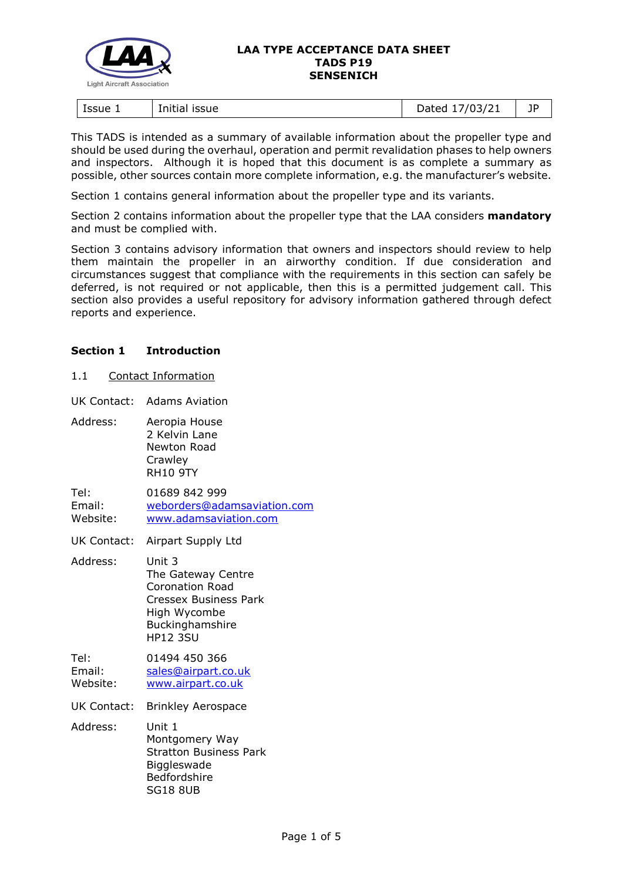

#### **LAA TYPE ACCEPTANCE DATA SHEET TADS P19 SENSENICH**

| Issue 1<br>issue<br>Initia | 103/21<br>)ated<br>ـ 1 / 1<br>$-$ ---- | 1D<br><u>. .</u> |
|----------------------------|----------------------------------------|------------------|
|----------------------------|----------------------------------------|------------------|

This TADS is intended as a summary of available information about the propeller type and should be used during the overhaul, operation and permit revalidation phases to help owners and inspectors. Although it is hoped that this document is as complete a summary as possible, other sources contain more complete information, e.g. the manufacturer's website.

Section 1 contains general information about the propeller type and its variants.

Section 2 contains information about the propeller type that the LAA considers **mandatory** and must be complied with.

Section 3 contains advisory information that owners and inspectors should review to help them maintain the propeller in an airworthy condition. If due consideration and circumstances suggest that compliance with the requirements in this section can safely be deferred, is not required or not applicable, then this is a permitted judgement call. This section also provides a useful repository for advisory information gathered through defect reports and experience.

## **Section 1 Introduction**

1.1 Contact Information

UK Contact: Adams Aviation

Address: Aeropia House 2 Kelvin Lane Newton Road **Crawley** RH10 9TY

Tel: 01689 842 999 Email: [weborders@adamsaviation.com](mailto:weborders@adamsaviation.com) Website: [www.adamsaviation.com](https://www.adamsaviation.com/)

UK Contact: Airpart Supply Ltd

Address: Unit 3 The Gateway Centre Coronation Road Cressex Business Park High Wycombe **Buckinghamshire** HP12 3SU

Tel: 01494 450 366 Email: [sales@airpart.co.uk](mailto:sales@airpart.co.uk) Website: [www.airpart.co.uk](https://www.airpart.co.uk/)

UK Contact: Brinkley Aerospace

Address: Unit 1 Montgomery Way Stratton Business Park **Biggleswade** Bedfordshire SG18 8UB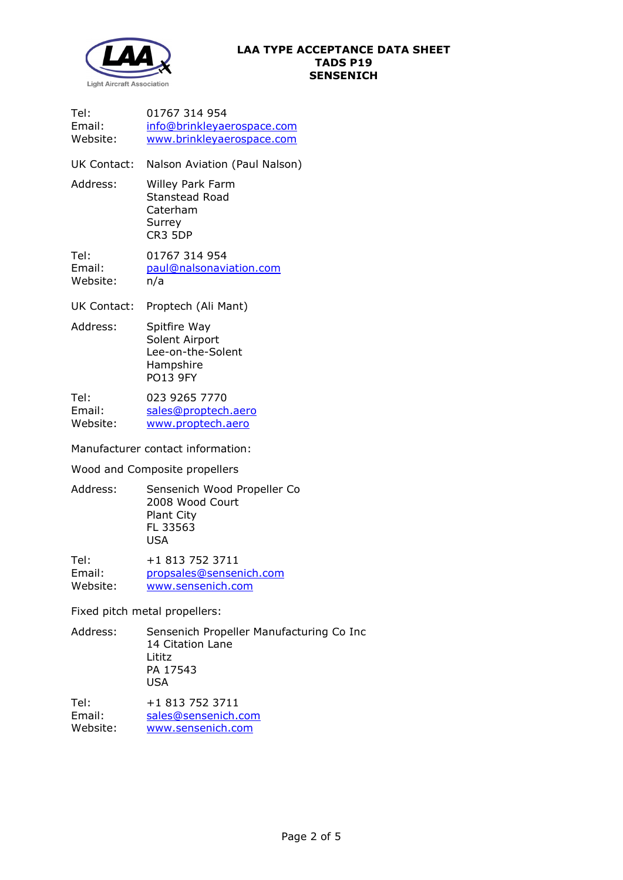

| Tel:<br>Email:<br>Website:        | 01767 314 954<br>info@brinkleyaerospace.com<br>www.brinkleyaerospace.com            |  |  |
|-----------------------------------|-------------------------------------------------------------------------------------|--|--|
| UK Contact:                       | Nalson Aviation (Paul Nalson)                                                       |  |  |
| Address:                          | <b>Willey Park Farm</b><br><b>Stanstead Road</b><br>Caterham<br>Surrey<br>CR3 5DP   |  |  |
| Tel:<br>Email:<br>Website:        | 01767 314 954<br>paul@nalsonaviation.com<br>n/a                                     |  |  |
| <b>UK Contact:</b>                | Proptech (Ali Mant)                                                                 |  |  |
| Address:                          | Spitfire Way<br>Solent Airport<br>Lee-on-the-Solent<br>Hampshire<br><b>PO13 9FY</b> |  |  |
| Tel:<br>Email:<br>Website:        | 023 9265 7770<br>sales@proptech.aero<br>www.proptech.aero                           |  |  |
| Manufacturer contact information: |                                                                                     |  |  |

Wood and Composite propellers

Address: Sensenich Wood Propeller Co 2008 Wood Court Plant City FL 33563 USA

Tel: +1 813 752 3711<br>Email: propsales@senser [propsales@sensenich.com](mailto:propsales@sensenich.com) Website: [www.sensenich.com](http://www.sensenich.com/)

Fixed pitch metal propellers:

| Address: | Sensenich Propeller Manufacturing Co Inc<br>14 Citation Lane<br>Lititz<br>PA 17543<br>USA |
|----------|-------------------------------------------------------------------------------------------|
| Tel:     | +1 813 752 3711                                                                           |

Email: [sales@sensenich.com](mailto:sales@sensenich.com)<br>Website: www.sensenich.com [www.sensenich.com](http://www.sensenich.com/)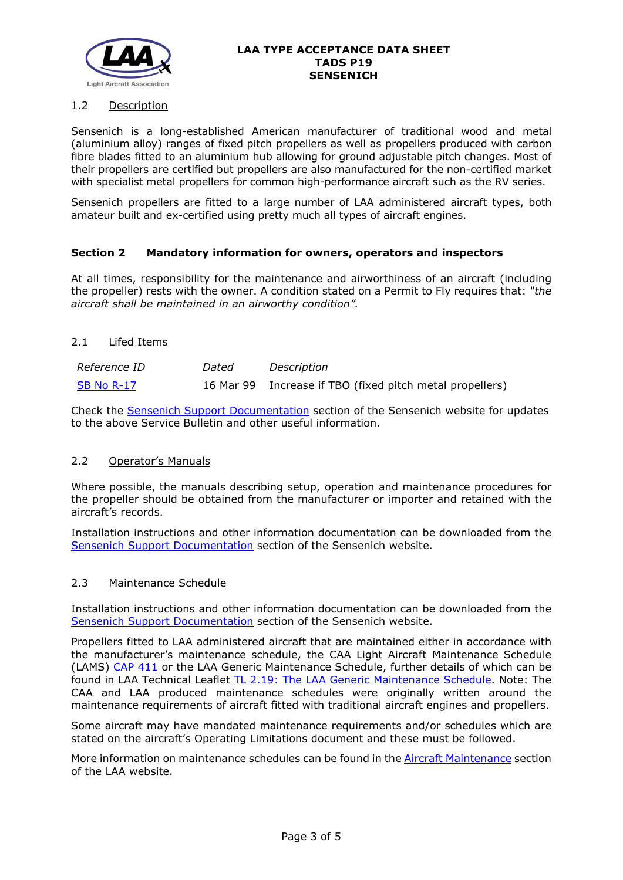

#### **LAA TYPE ACCEPTANCE DATA SHEET TADS P19 SENSENICH**

## 1.2 Description

Sensenich is a long-established American manufacturer of traditional wood and metal (aluminium alloy) ranges of fixed pitch propellers as well as propellers produced with carbon fibre blades fitted to an aluminium hub allowing for ground adjustable pitch changes. Most of their propellers are certified but propellers are also manufactured for the non-certified market with specialist metal propellers for common high-performance aircraft such as the RV series.

Sensenich propellers are fitted to a large number of LAA administered aircraft types, both amateur built and ex-certified using pretty much all types of aircraft engines.

#### **Section 2 Mandatory information for owners, operators and inspectors**

At all times, responsibility for the maintenance and airworthiness of an aircraft (including the propeller) rests with the owner. A condition stated on a Permit to Fly requires that: *"the aircraft shall be maintained in an airworthy condition".* 

#### 2.1 Lifed Items

| Reference ID | Dated | Description                                              |
|--------------|-------|----------------------------------------------------------|
| SB No R-17   |       | 16 Mar 99 Increase if TBO (fixed pitch metal propellers) |

Check the [Sensenich Support Documentation](http://www.sensenich.com/documents/) section of the Sensenich website for updates to the above Service Bulletin and other useful information.

## 2.2 Operator's Manuals

Where possible, the manuals describing setup, operation and maintenance procedures for the propeller should be obtained from the manufacturer or importer and retained with the aircraft's records.

Installation instructions and other information documentation can be downloaded from the [Sensenich Support Documentation](http://www.sensenich.com/documents/) section of the Sensenich website.

#### 2.3 Maintenance Schedule

Installation instructions and other information documentation can be downloaded from the [Sensenich Support Documentation](http://www.sensenich.com/documents/) section of the Sensenich website.

Propellers fitted to LAA administered aircraft that are maintained either in accordance with the manufacturer's maintenance schedule, the CAA Light Aircraft Maintenance Schedule (LAMS) [CAP 411](http://www.caa.co.uk/CAP411) or the LAA Generic Maintenance Schedule, further details of which can be found in LAA Technical Leaflet [TL 2.19: The LAA Generic Maintenance Schedule.](http://www.lightaircraftassociation.co.uk/engineering/TechnicalLeaflets/Operating%20An%20Aircraft/TL%202.19%20The%20LAA%20Generic%20Maintenance%20Schedule.pdf) Note: The CAA and LAA produced maintenance schedules were originally written around the maintenance requirements of aircraft fitted with traditional aircraft engines and propellers.

Some aircraft may have mandated maintenance requirements and/or schedules which are stated on the aircraft's Operating Limitations document and these must be followed.

More information on maintenance schedules can be found in the **Aircraft Maintenance** section of the LAA website.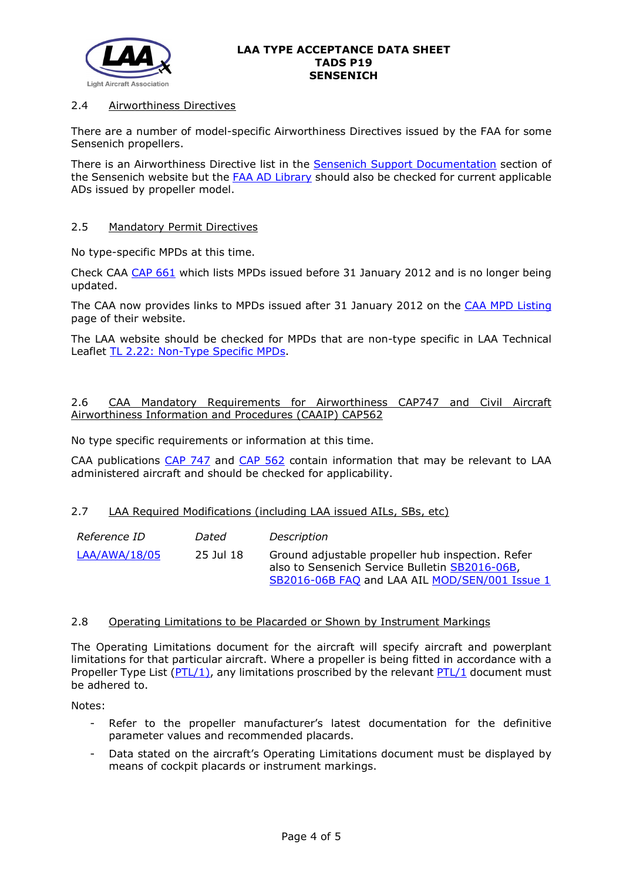

## 2.4 Airworthiness Directives

There are a number of model-specific Airworthiness Directives issued by the FAA for some Sensenich propellers.

There is an Airworthiness Directive list in the [Sensenich Support Documentation](http://www.sensenich.com/documents/) section of the Sensenich website but the **FAA AD Library** should also be checked for current applicable ADs issued by propeller model.

## 2.5 Mandatory Permit Directives

No type-specific MPDs at this time.

Check CAA [CAP 661](http://www.caa.co.uk/cap661) which lists MPDs issued before 31 January 2012 and is no longer being updated.

The CAA now provides links to MPDs issued after 31 January 2012 on the [CAA MPD Listing](http://publicapps.caa.co.uk/modalapplication.aspx?appid=11&mode=list&type=sercat&id=55) page of their website.

The LAA website should be checked for MPDs that are non-type specific in LAA Technical Leaflet [TL 2.22: Non-Type Specific MPDs.](http://www.lightaircraftassociation.co.uk/engineering/TechnicalLeaflets/Operating%20An%20Aircraft/TL%202.22%20non-type%20specific%20MPDs.pdf)

# 2.6 CAA Mandatory Requirements for Airworthiness CAP747 and Civil Aircraft Airworthiness Information and Procedures (CAAIP) CAP562

No type specific requirements or information at this time.

CAA publications [CAP 747](http://www.caa.co.uk/CAP747) and [CAP 562](http://www.caa.co.uk/CAP562) contain information that may be relevant to LAA administered aircraft and should be checked for applicability.

## 2.7 LAA Required Modifications (including LAA issued AILs, SBs, etc)

| <i>Reference ID</i> | Dated     | Description                                                                                                                                           |
|---------------------|-----------|-------------------------------------------------------------------------------------------------------------------------------------------------------|
| LAA/AWA/18/05       | 25 Jul 18 | Ground adjustable propeller hub inspection. Refer<br>also to Sensenich Service Bulletin SB2016-06B,<br>SB2016-06B FAQ and LAA AIL MOD/SEN/001 Issue 1 |

## 2.8 Operating Limitations to be Placarded or Shown by Instrument Markings

The Operating Limitations document for the aircraft will specify aircraft and powerplant limitations for that particular aircraft. Where a propeller is being fitted in accordance with a Propeller Type List [\(PTL/1\)](http://www.lightaircraftassociation.co.uk/engineering/NewMods/PTL.html), any limitations proscribed by the relevant [PTL/1](http://www.lightaircraftassociation.co.uk/engineering/NewMods/PTL.html) document must be adhered to.

Notes:

- Refer to the propeller manufacturer's latest documentation for the definitive parameter values and recommended placards.
- Data stated on the aircraft's Operating Limitations document must be displayed by means of cockpit placards or instrument markings.